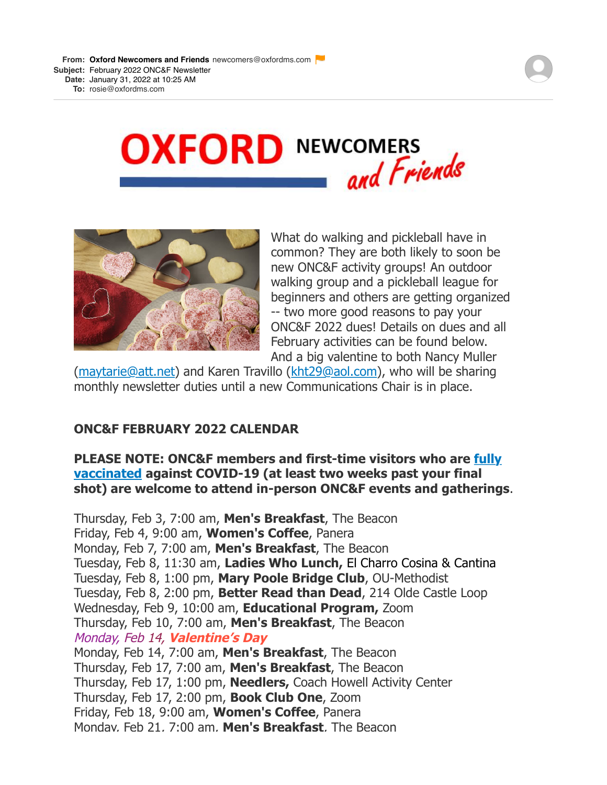**From: Oxford Newcomers and Friends** newcomers@oxfordms.com **Subject:** February 2022 ONC&F Newsletter **Date:** January 31, 2022 at 10:25 AM

**To:** rosie@oxfordms.com





What do walking and pickleball have in common? They are both likely to soon be new ONC&F activity groups! An outdoor walking group and a pickleball league for beginners and others are getting organized -- two more good reasons to pay your ONC&F 2022 dues! Details on dues and all February activities can be found below. And a big valentine to both Nancy Muller

[\(maytarie@att.net](mailto:maytarie@att.net)) and Karen Travillo ([kht29@aol.com](mailto:kht29@aol.com)), who will be sharing monthly newsletter duties until a new Communications Chair is in place.

# **ONC&F FEBRUARY 2022 CALENDAR**

## **[PLEASE NOTE: ONC&F members and first-time visitors who are fully](https://r20.rs6.net/tn.jsp?f=0019ijQf8TjVjGSFJ0NkMk777q98r8Eb9CKTnVfyACOS0x6UnOTqQgovU_dMRV83MtvM9XF6QVs3hQsmVtAQoxhn-gXjFvCLyyeMASX9nx6SqY_mkeA8vXt56x-Im_q4ibbSSqdY50Hc40hGxGOGU0ttdS_lz-D1XG0ptPRb4IMNU5rDu2Flog9DDDsnBYo4rlTFBDUyGvk96ezqSUQH-hSOjJJViBmFHR9uFMzNwvnNJ4=&c=S1D9E7niNrMWHym9f7n9JkOE_IqMzn2cz7pdnZONr6p2E0oV2wfOLA==&ch=ha-urkV-ftp6gWDJweUh3OXFlzb7EEVbZxHpJMPi1YS8HFUtldd93g==) vaccinated against COVID-19 (at least two weeks past your final shot) are welcome to attend in-person ONC&F events and gatherings**.

Thursday, Feb 3, 7:00 am, **Men's Breakfast**, The Beacon Friday, Feb 4, 9:00 am, **Women's Coffee**, Panera Monday, Feb 7, 7:00 am, **Men's Breakfast**, The Beacon Tuesday, Feb 8, 11:30 am, **Ladies Who Lunch,** El Charro Cosina & Cantina Tuesday, Feb 8, 1:00 pm, **Mary Poole Bridge Club**, OU-Methodist Tuesday, Feb 8, 2:00 pm, **Better Read than Dead**, 214 Olde Castle Loop Wednesday, Feb 9, 10:00 am, **Educational Program,** Zoom Thursday, Feb 10, 7:00 am, **Men's Breakfast**, The Beacon Monday, Feb 14, **Valentine's Day** Monday, Feb 14, 7:00 am, **Men's Breakfast**, The Beacon Thursday, Feb 17, 7:00 am, **Men's Breakfast**, The Beacon Thursday, Feb 17, 1:00 pm, **Needlers,** Coach Howell Activity Center Thursday, Feb 17, 2:00 pm, **Book Club One**, Zoom Friday, Feb 18, 9:00 am, **Women's Coffee**, Panera Monday, Feb 21, 7:00 am, **Men's Breakfast**, The Beacon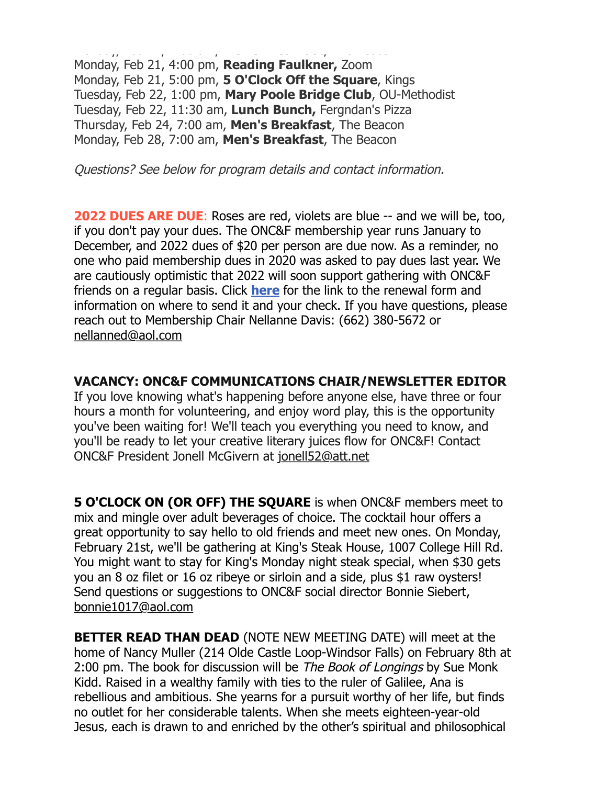Monday, Feb 21, 7:00 am, **Men's Breakfast**, The Beacon Monday, Feb 21, 4:00 pm, **Reading Faulkner,** Zoom Monday, Feb 21, 5:00 pm, **5 O'Clock Off the Square**, Kings Tuesday, Feb 22, 1:00 pm, **Mary Poole Bridge Club**, OU-Methodist Tuesday, Feb 22, 11:30 am, **Lunch Bunch,** Fergndan's Pizza Thursday, Feb 24, 7:00 am, **Men's Breakfast**, The Beacon Monday, Feb 28, 7:00 am, **Men's Breakfast**, The Beacon

Questions? See below for program details and contact information.

**2022 DUES ARE DUE**: Roses are red, violets are blue -- and we will be, too, if you don't pay your dues. The ONC&F membership year runs January to December, and 2022 dues of \$20 per person are due now. As a reminder, no one who paid membership dues in 2020 was asked to pay dues last year. We are cautiously optimistic that 2022 will soon support gathering with ONC&F friends on a regular basis. Click **[here](https://r20.rs6.net/tn.jsp?f=001c4bpEwZ5ZEdYE328oKcPFrzJyqDtF6MK-NqNOuDwLXKQ18_tys4Qtihb8Ylrk1U18t3MkhC4505pvnQpPPq-Wj7E5otaXWsYsW-cmCho-cOfNqUsKpHQMqzYerop3tves3sSkVT-D8pFCwWplgy7crmNBTFI3Gk7y2QX9GQlYioDi9kb04g6CHbKZultu6E7nTTDPv9gauGUR8BfFW_fHMeUsne24oYZEjPt_fi3G7Y=&c=W3i-nSWMJOCU35q_JLB7BFmY4F_2RLif0NWuxvKVCoiUiYvs176X_A==&ch=3CI9lKV-AAAdAeK8RNQqNFrx0CiDW2fkSXCqQR2aFki9dsHD6r0Z5g==)** [f](https://r20.rs6.net/tn.jsp?f=001c4bpEwZ5ZEdYE328oKcPFrzJyqDtF6MK-NqNOuDwLXKQ18_tys4Qtihb8Ylrk1U18t3MkhC4505pvnQpPPq-Wj7E5otaXWsYsW-cmCho-cOfNqUsKpHQMqzYerop3tves3sSkVT-D8pFCwWplgy7crmNBTFI3Gk7y2QX9GQlYioDi9kb04g6CHbKZultu6E7nTTDPv9gauGUR8BfFW_fHMeUsne24oYZEjPt_fi3G7Y=&c=W3i-nSWMJOCU35q_JLB7BFmY4F_2RLif0NWuxvKVCoiUiYvs176X_A==&ch=3CI9lKV-AAAdAeK8RNQqNFrx0CiDW2fkSXCqQR2aFki9dsHD6r0Z5g==)or the link to the renewal form and information on where to send it and your check. If you have questions, please reach out to Membership Chair Nellanne Davis: (662) 380-5672 or [nellanned@aol.com](mailto:nellanned@aol.com)

### **VACANCY: ONC&F COMMUNICATIONS CHAIR/NEWSLETTER EDITOR**

If you love knowing what's happening before anyone else, have three or four hours a month for volunteering, and enjoy word play, this is the opportunity you've been waiting for! We'll teach you everything you need to know, and you'll be ready to let your creative literary juices flow for ONC&F! Contact ONC&F President Jonell McGivern at [jonell52@att.net](mailto:jonell52@att.net)

**5 O'CLOCK ON (OR OFF) THE SQUARE** is when ONC&F members meet to mix and mingle over adult beverages of choice. The cocktail hour offers a great opportunity to say hello to old friends and meet new ones. On Monday, February 21st, we'll be gathering at King's Steak House, 1007 College Hill Rd. You might want to stay for King's Monday night steak special, when \$30 gets you an 8 oz filet or 16 oz ribeye or sirloin and a side, plus \$1 raw oysters! Send questions or suggestions to ONC&F social director Bonnie Siebert, [bonnie1017@aol.com](mailto:bonnie1017@aol.com)

**BETTER READ THAN DEAD** (NOTE NEW MEETING DATE) will meet at the home of Nancy Muller (214 Olde Castle Loop-Windsor Falls) on February 8th at 2:00 pm. The book for discussion will be *The Book of Longings* by Sue Monk Kidd. Raised in a wealthy family with ties to the ruler of Galilee, Ana is rebellious and ambitious. She yearns for a pursuit worthy of her life, but finds no outlet for her considerable talents. When she meets eighteen-year-old Jesus, each is drawn to and enriched by the other's spiritual and philosophical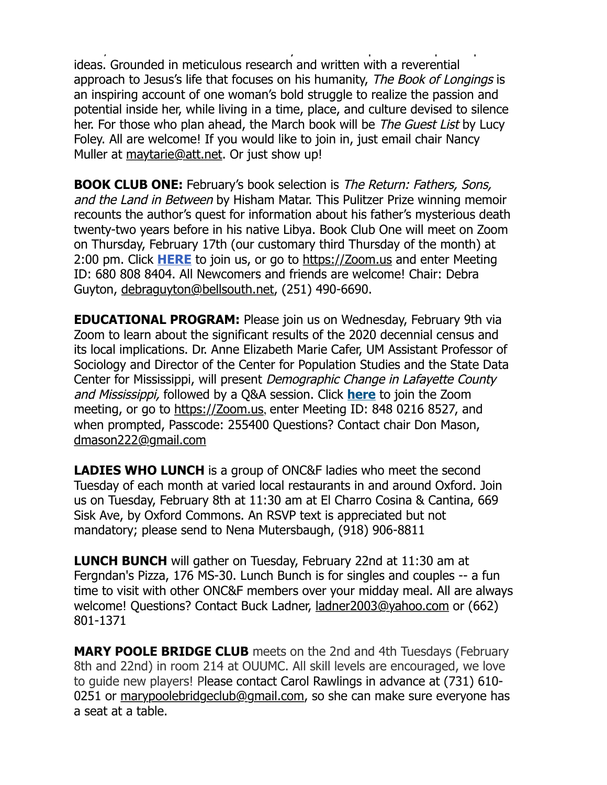Jesus, each is drawn to and enriched by the other's spiritual and philosophical ideas. Grounded in meticulous research and written with a reverential approach to Jesus's life that focuses on his humanity, The Book of Longings is an inspiring account of one woman's bold struggle to realize the passion and potential inside her, while living in a time, place, and culture devised to silence her. For those who plan ahead, the March book will be *The Guest List* by Lucy Foley. All are welcome! If you would like to join in, just email chair Nancy Muller at [maytarie@att.net](mailto:maytarie@att.net). Or just show up!

**BOOK CLUB ONE:** February's book selection is The Return: Fathers, Sons, and the Land in Between by Hisham Matar. This Pulitzer Prize winning memoir recounts the author's quest for information about his father's mysterious death twenty-two years before in his native Libya. Book Club One will meet on Zoom on Thursday, February 17th (our customary third Thursday of the month) at 2:00 pm. Click **[HERE](https://r20.rs6.net/tn.jsp?f=001c4bpEwZ5ZEdYE328oKcPFrzJyqDtF6MK-NqNOuDwLXKQ18_tys4QtoQ-gBY0mUTCPesnMOIrRmA_8ZDohabIOxuXdgDeIEG3Ou2Af4y7o4CfaL1jNVT7N7W6_eujCTvKTd3PYFKUeExSnmEwdBEZCybfm94nT05E&c=W3i-nSWMJOCU35q_JLB7BFmY4F_2RLif0NWuxvKVCoiUiYvs176X_A==&ch=3CI9lKV-AAAdAeK8RNQqNFrx0CiDW2fkSXCqQR2aFki9dsHD6r0Z5g==)** to join us, or go to [https://Zoom.us](https://r20.rs6.net/tn.jsp?f=001JF9TOYYxMKZ0Q76heqzdyIJQ02ARzHOgOKD-54bv3bDySO2K0KMb4FTH2EO5Aw5UCDlxUU72S58eB3WuPVh5nkh3CYbKO8_3yJuTCskCMC3I2Pupd0JQnY7ZXo-X5kKppo9fX8CfMgg=&c=OKQVG6BzjZml6Rx2fr8joIEGeL8k021JNu4BzLAspfH5paNINmlkyw==&ch=loWDd_1yIGlia3KJjutjKvthE_dCJ-zoaRm0dn_Xx-XNtERKqtz7EQ==) and enter Meeting ID: 680 808 8404. All Newcomers and friends are welcome! Chair: Debra Guyton, [debraguyton@bellsouth.net](mailto:debraguyton@bellsouth.net), (251) 490-6690.

**EDUCATIONAL PROGRAM:** Please join us on Wednesday, February 9th via Zoom to learn about the significant results of the 2020 decennial census and its local implications. Dr. Anne Elizabeth Marie Cafer, UM Assistant Professor of Sociology and Director of the Center for Population Studies and the State Data Center for Mississippi, will present Demographic Change in Lafayette County and Mississippi, followed by a Q&A session. Click **[here](https://r20.rs6.net/tn.jsp?f=001c4bpEwZ5ZEdYE328oKcPFrzJyqDtF6MK-NqNOuDwLXKQ18_tys4Qtrnh_Ldc9qcUr80WxQ5Eid4YObRBofm--RVcFYfCyiielRj8oAaCL2KQA5fpahP1tM5PXPEaFej7JvVFvwVSu-h-bJP1-KuojC8jj6eHHHbkR_UkVvNrg16nyIM5X5InoR_Iur0naQO-lBHWTrZn3eLDlXpeVz8EyxIldSrAY01o&c=W3i-nSWMJOCU35q_JLB7BFmY4F_2RLif0NWuxvKVCoiUiYvs176X_A==&ch=3CI9lKV-AAAdAeK8RNQqNFrx0CiDW2fkSXCqQR2aFki9dsHD6r0Z5g==)** to join the Zoom meeting, or go to [https://Zoom.us](https://r20.rs6.net/tn.jsp?f=001JF9TOYYxMKZ0Q76heqzdyIJQ02ARzHOgOKD-54bv3bDySO2K0KMb4FTH2EO5Aw5UCDlxUU72S58eB3WuPVh5nkh3CYbKO8_3yJuTCskCMC3I2Pupd0JQnY7ZXo-X5kKppo9fX8CfMgg=&c=OKQVG6BzjZml6Rx2fr8joIEGeL8k021JNu4BzLAspfH5paNINmlkyw==&ch=loWDd_1yIGlia3KJjutjKvthE_dCJ-zoaRm0dn_Xx-XNtERKqtz7EQ==), enter Meeting ID: 848 0216 8527, and when prompted, Passcode: 255400 Questions? Contact chair Don Mason, [dmason222@gmail.com](mailto:dmason222@gmail.com)

**LADIES WHO LUNCH** is a group of ONC&F ladies who meet the second Tuesday of each month at varied local restaurants in and around Oxford. Join us on Tuesday, February 8th at 11:30 am at El Charro Cosina & Cantina, 669 Sisk Ave, by Oxford Commons. An RSVP text is appreciated but not mandatory; please send to Nena Mutersbaugh, (918) 906-8811

**LUNCH BUNCH** will gather on Tuesday, February 22nd at 11:30 am at Fergndan's Pizza, 176 MS-30. Lunch Bunch is for singles and couples -- a fun time to visit with other ONC&F members over your midday meal. All are always welcome! Questions? Contact Buck Ladner, [ladner2003@yahoo.com](mailto:ladner2003@yahoo.com) or (662) 801-1371

**MARY POOLE BRIDGE CLUB** meets on the 2nd and 4th Tuesdays (February 8th and 22nd) in room 214 at OUUMC. All skill levels are encouraged, we love to guide new players! Please contact Carol Rawlings in advance at (731) 610- 0251 or [marypoolebridgeclub@gmail.com,](mailto:marypoolebridgeclub@gmail.com) so she can make sure everyone has a seat at a table.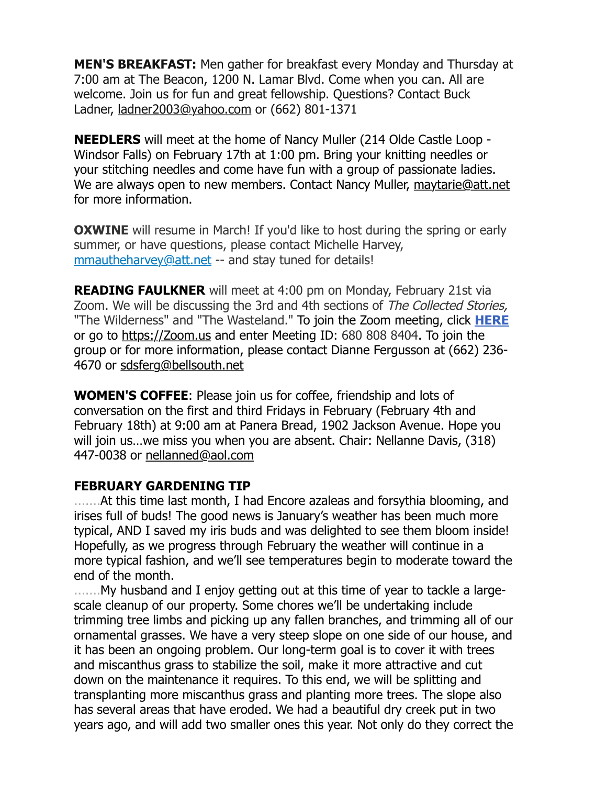**MEN'S BREAKFAST:** Men gather for breakfast every Monday and Thursday at 7:00 am at The Beacon, 1200 N. Lamar Blvd. Come when you can. All are welcome. Join us for fun and great fellowship. Questions? Contact Buck Ladner, [ladner2003@yahoo.com](mailto:ladner2003@yahoo.com) or (662) 801-1371

**NEEDLERS** will meet at the home of Nancy Muller (214 Olde Castle Loop - Windsor Falls) on February 17th at 1:00 pm. Bring your knitting needles or your stitching needles and come have fun with a group of passionate ladies. We are always open to new members. Contact Nancy Muller, [maytarie@att.net](mailto:maytarie@att.net) for more information.

**OXWINE** will resume in March! If you'd like to host during the spring or early summer, or have questions, please contact Michelle Harvey, [mmautheharvey@att.net](mailto:mmautheharvey@att.net) -- and stay tuned for details!

**READING FAULKNER** will meet at 4:00 pm on Monday, February 21st via Zoom. We will be discussing the 3rd and 4th sections of The Collected Stories, "The Wilderness" and "The Wasteland." To join the Zoom meeting, click **[HERE](https://r20.rs6.net/tn.jsp?f=001c4bpEwZ5ZEdYE328oKcPFrzJyqDtF6MK-NqNOuDwLXKQ18_tys4QtoQ-gBY0mUTCPesnMOIrRmA_8ZDohabIOxuXdgDeIEG3Ou2Af4y7o4CfaL1jNVT7N7W6_eujCTvKTd3PYFKUeExSnmEwdBEZCybfm94nT05E&c=W3i-nSWMJOCU35q_JLB7BFmY4F_2RLif0NWuxvKVCoiUiYvs176X_A==&ch=3CI9lKV-AAAdAeK8RNQqNFrx0CiDW2fkSXCqQR2aFki9dsHD6r0Z5g==)** or go to [https://Zoom.us](https://r20.rs6.net/tn.jsp?f=001JF9TOYYxMKZ0Q76heqzdyIJQ02ARzHOgOKD-54bv3bDySO2K0KMb4FTH2EO5Aw5UCDlxUU72S58eB3WuPVh5nkh3CYbKO8_3yJuTCskCMC3I2Pupd0JQnY7ZXo-X5kKppo9fX8CfMgg=&c=OKQVG6BzjZml6Rx2fr8joIEGeL8k021JNu4BzLAspfH5paNINmlkyw==&ch=loWDd_1yIGlia3KJjutjKvthE_dCJ-zoaRm0dn_Xx-XNtERKqtz7EQ==) and enter Meeting ID: 680 808 8404. To join the group or for more information, please contact Dianne Fergusson at (662) 236- 4670 or [sdsferg@bellsouth.net](mailto:sdsferg@bellsouth.net.)

**WOMEN'S COFFEE**: Please join us for coffee, friendship and lots of conversation on the first and third Fridays in February (February 4th and February 18th) at 9:00 am at Panera Bread, 1902 Jackson Avenue. Hope you will join us…we miss you when you are absent. Chair: Nellanne Davis, (318) 447-0038 or [nellanned@aol.com](mailto:nellanned@aol.com)

## **FEBRUARY GARDENING TIP**

.......At this time last month, I had Encore azaleas and forsythia blooming, and irises full of buds! The good news is January's weather has been much more typical, AND I saved my iris buds and was delighted to see them bloom inside! Hopefully, as we progress through February the weather will continue in a more typical fashion, and we'll see temperatures begin to moderate toward the end of the month.

.......My husband and I enjoy getting out at this time of year to tackle a largescale cleanup of our property. Some chores we'll be undertaking include trimming tree limbs and picking up any fallen branches, and trimming all of our ornamental grasses. We have a very steep slope on one side of our house, and it has been an ongoing problem. Our long-term goal is to cover it with trees and miscanthus grass to stabilize the soil, make it more attractive and cut down on the maintenance it requires. To this end, we will be splitting and transplanting more miscanthus grass and planting more trees. The slope also has several areas that have eroded. We had a beautiful dry creek put in two years ago, and will add two smaller ones this year. Not only do they correct the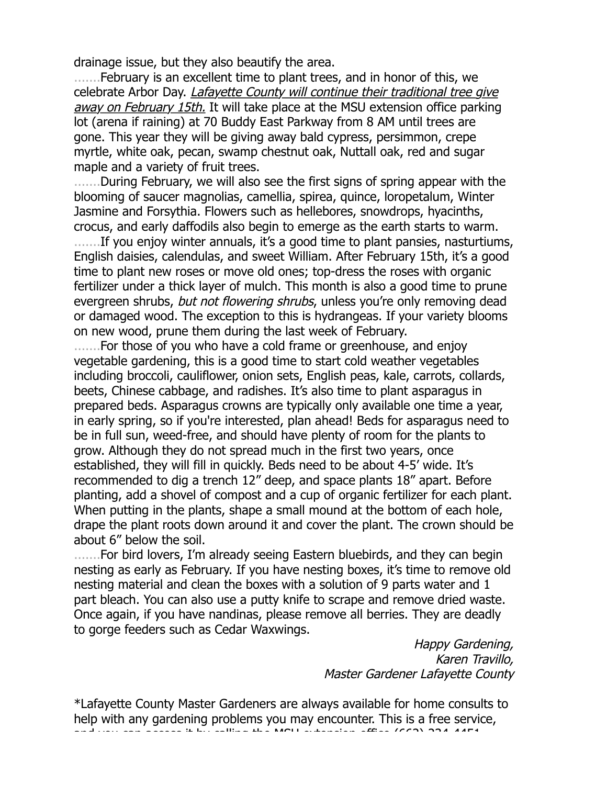drainage issue, but they also beautify the area.

.......February is an excellent time to plant trees, and in honor of this, we celebrate Arbor Day. *Lafayette County will continue their traditional tree give* away on February 15th. It will take place at the MSU extension office parking lot (arena if raining) at 70 Buddy East Parkway from 8 AM until trees are gone. This year they will be giving away bald cypress, persimmon, crepe myrtle, white oak, pecan, swamp chestnut oak, Nuttall oak, red and sugar maple and a variety of fruit trees.

.......During February, we will also see the first signs of spring appear with the blooming of saucer magnolias, camellia, spirea, quince, loropetalum, Winter Jasmine and Forsythia. Flowers such as hellebores, snowdrops, hyacinths, crocus, and early daffodils also begin to emerge as the earth starts to warm.

.......If you enjoy winter annuals, it's a good time to plant pansies, nasturtiums, English daisies, calendulas, and sweet William. After February 15th, it's a good time to plant new roses or move old ones; top-dress the roses with organic fertilizer under a thick layer of mulch. This month is also a good time to prune evergreen shrubs, but not flowering shrubs, unless you're only removing dead or damaged wood. The exception to this is hydrangeas. If your variety blooms on new wood, prune them during the last week of February.

.......For those of you who have a cold frame or greenhouse, and enjoy vegetable gardening, this is a good time to start cold weather vegetables including broccoli, cauliflower, onion sets, English peas, kale, carrots, collards, beets, Chinese cabbage, and radishes. It's also time to plant asparagus in prepared beds. Asparagus crowns are typically only available one time a year, in early spring, so if you're interested, plan ahead! Beds for asparagus need to be in full sun, weed-free, and should have plenty of room for the plants to grow. Although they do not spread much in the first two years, once established, they will fill in quickly. Beds need to be about 4-5' wide. It's recommended to dig a trench 12" deep, and space plants 18" apart. Before planting, add a shovel of compost and a cup of organic fertilizer for each plant. When putting in the plants, shape a small mound at the bottom of each hole, drape the plant roots down around it and cover the plant. The crown should be about 6" below the soil.

........For bird lovers, I'm already seeing Eastern bluebirds, and they can begin nesting as early as February. If you have nesting boxes, it's time to remove old nesting material and clean the boxes with a solution of 9 parts water and 1 part bleach. You can also use a putty knife to scrape and remove dried waste. Once again, if you have nandinas, please remove all berries. They are deadly to gorge feeders such as Cedar Waxwings.

> Happy Gardening, Karen Travillo, Master Gardener Lafayette County

\*Lafayette County Master Gardeners are always available for home consults to help with any gardening problems you may encounter. This is a free service,  $\alpha$  is by cannot can access in the MSU extension of  $\alpha$  and  $\alpha$  at  $\alpha$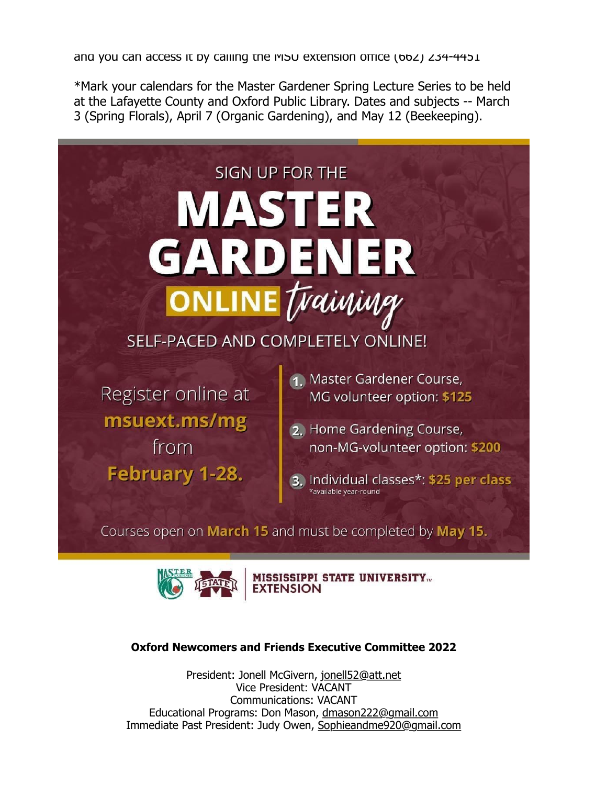and you can access it by calling the MSU extension office (662) 234-4451

\*Mark your calendars for the Master Gardener Spring Lecture Series to be held at the Lafayette County and Oxford Public Library. Dates and subjects -- March 3 (Spring Florals), April 7 (Organic Gardening), and May 12 (Beekeeping).





**MISSISSIPPI STATE UNIVERSITY...** 

#### **Oxford Newcomers and Friends Executive Committee 2022**

President: Jonell McGivern, [jonell52@att.net](mailto:jonell52@att.net) Vice President: VACANT Communications: VACANT Educational Programs: Don Mason, [dmason222@gmail.com](mailto:dmason222@gmail.com) Immediate Past President: Judy Owen, [Sophieandme920@gmail.com](mailto:Sophieandme920@gmail.com)